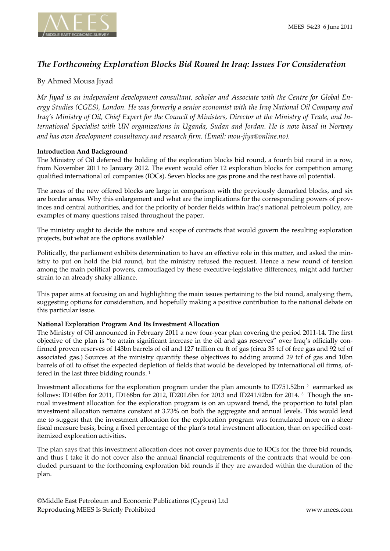# *The Forthcoming Exploration Blocks Bid Round In Iraq: Issues For Consideration*

# By Ahmed Mousa Jiyad

*Mr Jiyad is an independent development consultant, scholar and Associate with the Centre for Global En‐ ergy Studies (CGES), London. He was formerly a senior economist with the Iraq National Oil Company and* Iraq's Ministry of Oil, Chief Expert for the Council of Ministers, Director at the Ministry of Trade, and In*ternational Specialist with UN organizations in Uganda, Sudan and Jordan. He is now based in Norway and has own development consultancy and research firm. (Email: mou‐jiya@online.no).*

## **Introduction And Background**

The Ministry of Oil deferred the holding of the exploration blocks bid round, a fourth bid round in a row, from November 2011 to January 2012. The event would offer 12 exploration blocks for competition among qualified international oil companies (IOCs). Seven blocks are gas prone and the rest have oil potential.

The areas of the new offered blocks are large in comparison with the previously demarked blocks, and six are border areas. Why this enlargement and what are the implications for the corresponding powers of provinces and central authorities, and for the priority of border fields within Iraq's national petroleum policy, are examples of many questions raised throughout the paper.

The ministry ought to decide the nature and scope of contracts that would govern the resulting exploration projects, but what are the options available?

Politically, the parliament exhibits determination to have an effective role in this matter, and asked the min‐ istry to put on hold the bid round, but the ministry refused the request. Hence a new round of tension among the main political powers, camouflaged by these executive-legislative differences, might add further strain to an already shaky alliance.

This paper aims at focusing on and highlighting the main issues pertaining to the bid round, analysing them, suggesting options for consideration, and hopefully making a positive contribution to the national debate on this particular issue.

### **National Exploration Program And Its Investment Allocation**

The Ministry of Oil announced in February 2011 a new four-year plan covering the period 2011-14. The first objective of the plan is "to attain significant increase in the oil and gas reserves" over Iraq's officially con‐ firmed proven reserves of 143bn barrels of oil and 127 trillion cu ft of gas (circa 35 tcf of free gas and 92 tcf of associated gas.) Sources at the ministry quantify these objectives to adding around 29 tcf of gas and 10bn barrels of oil to offset the expected depletion of fields that would be developed by international oil firms, of‐ fered in the last three bidding rounds.<sup>1</sup>

Investment allocations for the exploration program under the plan amounts to ID751.52bn <sup>2</sup> earmarked as follows: ID140bn for 2011, ID168bn for 2012, ID201.6bn for 2013 and ID241.92bn for 2014. <sup>3</sup> Though the an‐ nual investment allocation for the exploration program is on an upward trend, the proportion to total plan investment allocation remains constant at 3.73% on both the aggregate and annual levels. This would lead me to suggest that the investment allocation for the exploration program was formulated more on a sheer fiscal measure basis, being a fixed percentage of the plan's total investment allocation, than on specified costitemized exploration activities.

The plan says that this investment allocation does not cover payments due to IOCs for the three bid rounds, and thus I take it do not cover also the annual financial requirements of the contracts that would be concluded pursuant to the forthcoming exploration bid rounds if they are awarded within the duration of the plan.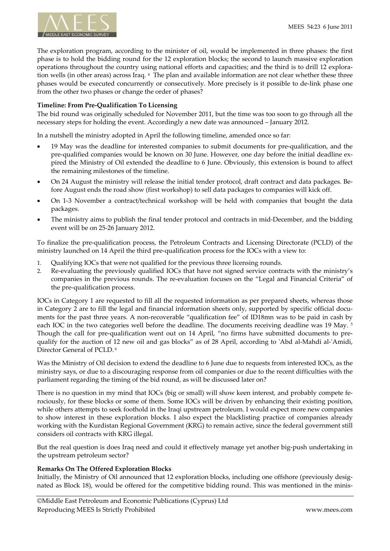

The exploration program, according to the minister of oil, would be implemented in three phases: the first phase is to hold the bidding round for the 12 exploration blocks; the second to launch massive exploration operations throughout the country using national efforts and capacities; and the third is to drill 12 explora‐ tion wells (in other areas) across Iraq. <sup>4</sup> The plan and available information are not clear whether these three phases would be executed concurrently or consecutively. More precisely is it possible to de‐link phase one from the other two phases or change the order of phases?

### **Timeline: From Pre‐Qualification To Licensing**

The bid round was originally scheduled for November 2011, but the time was too soon to go through all the necessary steps for holding the event. Accordingly a new date was announced – January 2012.

In a nutshell the ministry adopted in April the following timeline, amended once so far:

- 19 May was the deadline for interested companies to submit documents for pre-qualification, and the pre-qualified companies would be known on 30 June. However, one day before the initial deadline expired the Ministry of Oil extended the deadline to 6 June. Obviously, this extension is bound to affect the remaining milestones of the timeline.
- On 24 August the ministry will release the initial tender protocol, draft contract and data packages. Be‐ fore August ends the road show (first workshop) to sell data packages to companies will kick off.
- On 1‐3 November a contract/technical workshop will be held with companies that bought the data packages.
- The ministry aims to publish the final tender protocol and contracts in mid-December, and the bidding event will be on 25‐26 January 2012.

To finalize the pre‐qualification process, the Petroleum Contracts and Licensing Directorate (PCLD) of the ministry launched on 14 April the third pre‐qualification process for the IOCs with a view to:

- 1. Qualifying IOCs that were not qualified for the previous three licensing rounds.
- 2. Re-evaluating the previously qualified IOCs that have not signed service contracts with the ministry's companies in the previous rounds. The re-evaluation focuses on the "Legal and Financial Criteria" of the pre‐qualification process.

IOCs in Category 1 are requested to fill all the requested information as per prepared sheets, whereas those in Category 2 are to fill the legal and financial information sheets only, supported by specific official documents for the past three years. A non-recoverable "qualification fee" of ID18mn was to be paid in cash by each IOC in the two categories well before the deadline. The documents receiving deadline was 19 May. <sup>5</sup> Though the call for pre-qualification went out on 14 April, "no firms have submitted documents to prequalify for the auction of 12 new oil and gas blocks" as of 28 April, according to 'Abd al-Mahdi al-'Amidi, Director General of PCLD. <sup>6</sup>

Was the Ministry of Oil decision to extend the deadline to 6 June due to requests from interested IOCs, as the ministry says, or due to a discouraging response from oil companies or due to the recent difficulties with the parliament regarding the timing of the bid round, as will be discussed later on?

There is no question in my mind that IOCs (big or small) will show keen interest, and probably compete ferociously, for these blocks or some of them. Some IOCs will be driven by enhancing their existing position, while others attempts to seek foothold in the Iraqi upstream petroleum. I would expect more new companies to show interest in these exploration blocks. I also expect the blacklisting practice of companies already working with the Kurdistan Regional Government (KRG) to remain active, since the federal government still considers oil contracts with KRG illegal.

But the real question is does Iraq need and could it effectively manage yet another big‐push undertaking in the upstream petroleum sector?

### **Remarks On The Offered Exploration Blocks**

Initially, the Ministry of Oil announced that 12 exploration blocks, including one offshore (previously desig‐ nated as Block 18), would be offered for the competitive bidding round. This was mentioned in the minis-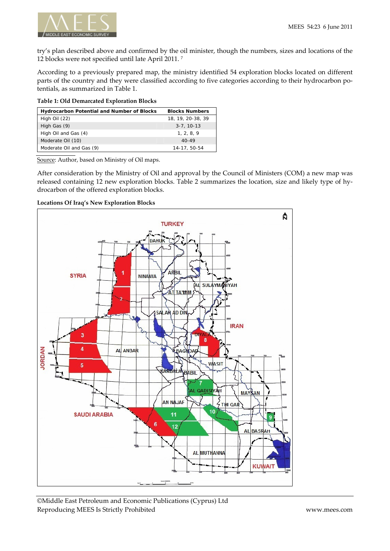

try's plan described above and confirmed by the oil minister, though the numbers, sizes and locations of the 12 blocks were not specified until late April 2011. <sup>7</sup>

According to a previously prepared map, the ministry identified 54 exploration blocks located on different parts of the country and they were classified according to five categories according to their hydrocarbon potentials, as summarized in Table 1.

| Table 1: Old Demarcated Exploration Blocks |  |  |
|--------------------------------------------|--|--|
|--------------------------------------------|--|--|

| <b>Blocks Numbers</b><br><b>Hydrocarbon Potential and Number of Blocks</b> |                   |
|----------------------------------------------------------------------------|-------------------|
| High Oil (22)                                                              | 18, 19, 20-38, 39 |
| High Gas (9)                                                               | $3 - 7, 10 - 13$  |
| High Oil and Gas (4)                                                       | 1, 2, 8, 9        |
| Moderate Oil (10)                                                          | $40 - 49$         |
| Moderate Oil and Gas (9)                                                   | 14-17, 50-54      |

Source: Author, based on Ministry of Oil maps.

After consideration by the Ministry of Oil and approval by the Council of Ministers (COM) a new map was released containing 12 new exploration blocks. Table 2 summarizes the location, size and likely type of hy‐ drocarbon of the offered exploration blocks.





©Middle East Petroleum and Economic Publications (Cyprus) Ltd Reproducing MEES Is Strictly Prohibited www.mees.com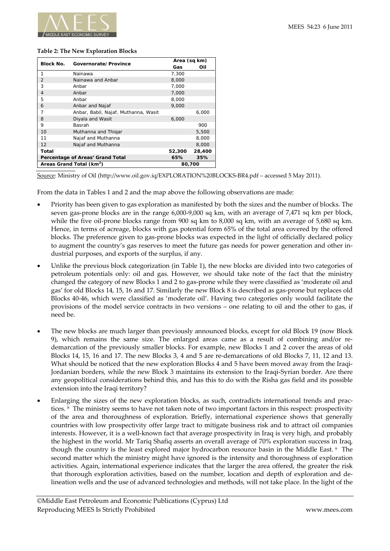

#### **Table 2: The New Exploration Blocks**

| <b>Block No.</b><br>Governorate/Province |                                      | Area (sq km) |        |
|------------------------------------------|--------------------------------------|--------------|--------|
|                                          | Gas                                  | Oil          |        |
| 1                                        | Nainawa                              | 7,300        |        |
| $\overline{2}$                           | Nainawa and Anbar                    | 8,000        |        |
| 3                                        | Anbar                                | 7.000        |        |
| $\overline{4}$                           | Anbar                                | 7,000        |        |
| 5                                        | Anbar                                | 8,000        |        |
| 6                                        | Anbar and Najaf                      | 9.000        |        |
| 7                                        | Anbar, Babil, Najaf, Muthanna, Wasit |              | 6,000  |
| 8                                        | Diyala and Wasit                     | 6,000        |        |
| 9                                        | Basrah                               |              | 900    |
| 10                                       | Muthanna and Thigar                  |              | 5,500  |
| 11                                       | Najaf and Muthanna                   |              | 8,000  |
| 12                                       | Najaf and Muthanna                   |              | 8,000  |
| Total                                    |                                      | 52,300       | 28,400 |
| Percentage of Areas' Grand Total         |                                      | 65%          | 35%    |
| Areas Grand Total (km <sup>2</sup> )     |                                      | 80,700       |        |

Source: Ministry of Oil (http://www.oil.gov.iq/EXPLORATION%20BLOCKS‐BR4.pdf – accessed 5 May 2011).

From the data in Tables 1 and 2 and the map above the following observations are made:

- Priority has been given to gas exploration as manifested by both the sizes and the number of blocks. The seven gas-prone blocks are in the range 6,000-9,000 sq km, with an average of 7,471 sq km per block, while the five oil-prone blocks range from 900 sq km to 8,000 sq km, with an average of 5,680 sq km. Hence, in terms of acreage, blocks with gas potential form 65% of the total area covered by the offered blocks. The preference given to gas‐prone blocks was expected in the light of officially declared policy to augment the country's gas reserves to meet the future gas needs for power generation and other in‐ dustrial purposes, and exports of the surplus, if any.
- Unlike the previous block categorization (in Table 1), the new blocks are divided into two categories of petroleum potentials only: oil and gas. However, we should take note of the fact that the ministry changed the category of new Blocks 1 and 2 to gas‐prone while they were classified as 'moderate oil and gas' for old Blocks 14, 15, 16 and 17. Similarly the new Block 8 is described as gas‐prone but replaces old Blocks 40‐46, which were classified as 'moderate oil'. Having two categories only would facilitate the provisions of the model service contracts in two versions – one relating to oil and the other to gas, if need be.
- The new blocks are much larger than previously announced blocks, except for old Block 19 (now Block 9), which remains the same size. The enlarged areas came as a result of combining and/or redemarcation of the previously smaller blocks. For example, new Blocks 1 and 2 cover the areas of old Blocks 14, 15, 16 and 17. The new Blocks 3, 4 and 5 are re‐demarcations of old Blocks 7, 11, 12 and 13. What should be noticed that the new exploration Blocks 4 and 5 have been moved away from the Iraqi-Jordanian borders, while the new Block 3 maintains its extension to the Iraqi‐Syrian border. Are there any geopolitical considerations behind this, and has this to do with the Risha gas field and its possible extension into the Iraqi territory?
- Enlarging the sizes of the new exploration blocks, as such, contradicts international trends and practices. <sup>8</sup> The ministry seems to have not taken note of two important factors in this respect: prospectivity of the area and thoroughness of exploration. Briefly, international experience shows that generally countries with low prospectivity offer large tract to mitigate business risk and to attract oil companies interests. However, it is a well-known fact that average prospectivity in Iraq is very high, and probably the highest in the world. Mr Tariq Shafiq asserts an overall average of 70% exploration success in Iraq, though the country is the least explored major hydrocarbon resource basin in the Middle East. <sup>9</sup> The second matter which the ministry might have ignored is the intensity and thoroughness of exploration activities. Again, international experience indicates that the larger the area offered, the greater the risk that thorough exploration activities, based on the number, location and depth of exploration and de‐ lineation wells and the use of advanced technologies and methods, will not take place. In the light of the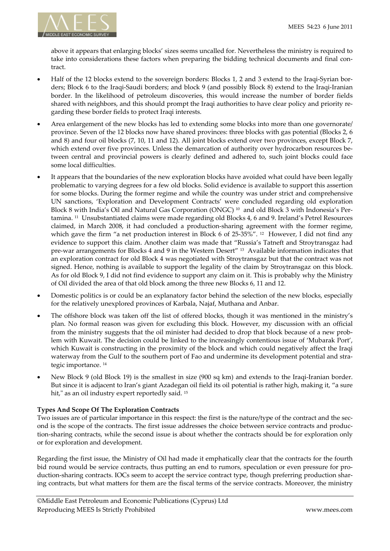

above it appears that enlarging blocks' sizes seems uncalled for. Nevertheless the ministry is required to take into considerations these factors when preparing the bidding technical documents and final contract.

- Half of the 12 blocks extend to the sovereign borders: Blocks 1, 2 and 3 extend to the Iraqi‐Syrian bor‐ ders; Block 6 to the Iraqi‐Saudi borders; and block 9 (and possibly Block 8) extend to the Iraqi‐Iranian border. In the likelihood of petroleum discoveries, this would increase the number of border fields shared with neighbors, and this should prompt the Iraqi authorities to have clear policy and priority regarding these border fields to protect Iraqi interests.
- Area enlargement of the new blocks has led to extending some blocks into more than one governorate/ province. Seven of the 12 blocks now have shared provinces: three blocks with gas potential (Blocks 2, 6 and 8) and four oil blocks (7, 10, 11 and 12). All joint blocks extend over two provinces, except Block 7, which extend over five provinces. Unless the demarcation of authority over hydrocarbon resources between central and provincial powers is clearly defined and adhered to, such joint blocks could face some local difficulties.
- It appears that the boundaries of the new exploration blocks have avoided what could have been legally problematic to varying degrees for a few old blocks. Solid evidence is available to support this assertion for some blocks. During the former regime and while the country was under strict and comprehensive UN sanctions, 'Exploration and Development Contracts' were concluded regarding old exploration Block 8 with India's Oil and Natural Gas Corporation (ONGC)<sup>10</sup> and old Block 3 with Indonesia's Pertamina. <sup>11</sup> Unsubstantiated claims were made regarding old Blocks 4, 6 and 9. Ireland's Petrel Resources claimed, in March 2008, it had concluded a production‐sharing agreement with the former regime, which gave the firm "a net production interest in Block 6 of 25-35%". <sup>12</sup> However, I did not find any evidence to support this claim. Another claim was made that "Russia's Tatneft and Stroytransgaz had pre-war arrangements for Blocks 4 and 9 in the Western Desert" <sup>13</sup> Available information indicates that an exploration contract for old Block 4 was negotiated with Stroytransgaz but that the contract was not signed. Hence, nothing is available to support the legality of the claim by Stroytransgaz on this block. As for old Block 9, I did not find evidence to support any claim on it. This is probably why the Ministry of Oil divided the area of that old block among the three new Blocks 6, 11 and 12.
- Domestic politics is or could be an explanatory factor behind the selection of the new blocks, especially for the relatively unexplored provinces of Karbala, Najaf, Muthana and Anbar.
- The offshore block was taken off the list of offered blocks, though it was mentioned in the ministry's plan. No formal reason was given for excluding this block. However, my discussion with an official from the ministry suggests that the oil minister had decided to drop that block because of a new problem with Kuwait. The decision could be linked to the increasingly contentious issue of 'Mubarak Port', which Kuwait is constructing in the proximity of the block and which could negatively affect the Iraqi waterway from the Gulf to the southern port of Fao and undermine its development potential and strategic importance. <sup>14</sup>
- New Block 9 (old Block 19) is the smallest in size (900 sq km) and extends to the Iraqi‐Iranian border. But since it is adjacent to Iran's giant Azadegan oil field its oil potential is rather high, making it, "a sure hit," as an oil industry expert reportedly said. <sup>15</sup>

## **Types And Scope Of The Exploration Contracts**

Two issues are of particular importance in this respect: the first is the nature/type of the contract and the second is the scope of the contracts. The first issue addresses the choice between service contracts and produc‐ tion‐sharing contracts, while the second issue is about whether the contracts should be for exploration only or for exploration and development.

Regarding the first issue, the Ministry of Oil had made it emphatically clear that the contracts for the fourth bid round would be service contracts, thus putting an end to rumors, speculation or even pressure for pro‐ duction-sharing contracts. IOCs seem to accept the service contract type, though preferring production sharing contracts, but what matters for them are the fiscal terms of the service contracts. Moreover, the ministry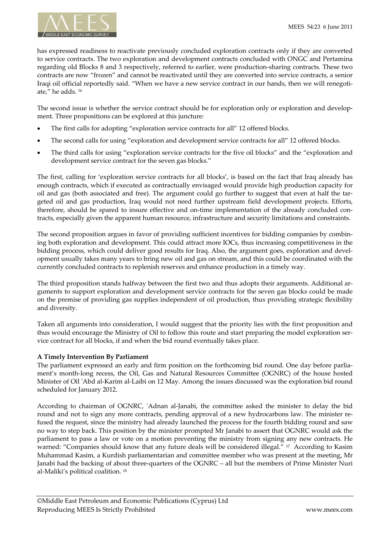has expressed readiness to reactivate previously concluded exploration contracts only if they are converted to service contracts. The two exploration and development contracts concluded with ONGC and Pertamina regarding old Blocks 8 and 3 respectively, referred to earlier, were production‐sharing contracts. These two contracts are now "frozen" and cannot be reactivated until they are converted into service contracts, a senior Iraqi oil official reportedly said. "When we have a new service contract in our hands, then we will renegotiate," he adds. <sup>16</sup>

The second issue is whether the service contract should be for exploration only or exploration and development. Three propositions can be explored at this juncture:

- The first calls for adopting "exploration service contracts for all" 12 offered blocks.
- The second calls for using "exploration and development service contracts for all" 12 offered blocks.
- The third calls for using "exploration service contracts for the five oil blocks" and the "exploration and development service contract for the seven gas blocks."

The first, calling for 'exploration service contracts for all blocks', is based on the fact that Iraq already has enough contracts, which if executed as contractually envisaged would provide high production capacity for oil and gas (both associated and free). The argument could go further to suggest that even at half the tar‐ geted oil and gas production, Iraq would not need further upstream field development projects. Efforts, therefore, should be spared to insure effective and on-time implementation of the already concluded contracts, especially given the apparent human resource, infrastructure and security limitations and constraints.

The second proposition argues in favor of providing sufficient incentives for bidding companies by combining both exploration and development. This could attract more IOCs, thus increasing competitiveness in the bidding process, which could deliver good results for Iraq. Also, the argument goes, exploration and development usually takes many years to bring new oil and gas on stream, and this could be coordinated with the currently concluded contracts to replenish reserves and enhance production in a timely way.

The third proposition stands halfway between the first two and thus adopts their arguments. Additional arguments to support exploration and development service contracts for the seven gas blocks could be made on the premise of providing gas supplies independent of oil production, thus providing strategic flexibility and diversity.

Taken all arguments into consideration, I would suggest that the priority lies with the first proposition and thus would encourage the Ministry of Oil to follow this route and start preparing the model exploration service contract for all blocks, if and when the bid round eventually takes place.

### **A Timely Intervention By Parliament**

The parliament expressed an early and firm position on the forthcoming bid round. One day before parliament's month-long recess, the Oil, Gas and Natural Resources Committee (OGNRC) of the house hosted Minister of Oil 'Abd al-Karim al-Laibi on 12 May. Among the issues discussed was the exploration bid round scheduled for January 2012.

According to chairman of OGNRC, 'Adnan al-Janabi, the committee asked the minister to delay the bid round and not to sign any more contracts, pending approval of a new hydrocarbons law. The minister refused the request, since the ministry had already launched the process for the fourth bidding round and saw no way to step back. This position by the minister prompted Mr Janabi to assert that OGNRC would ask the parliament to pass a law or vote on a motion preventing the ministry from signing any new contracts. He warned: "Companies should know that any future deals will be considered illegal." <sup>17</sup> According to Kasim Muhammad Kasim, a Kurdish parliamentarian and committee member who was present at the meeting, Mr Janabi had the backing of about three‐quarters of the OGNRC – all but the members of Prime Minister Nuri al‐Maliki's political coalition. <sup>18</sup>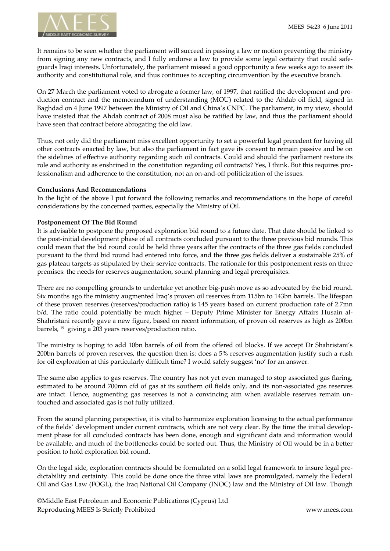

It remains to be seen whether the parliament will succeed in passing a law or motion preventing the ministry from signing any new contracts, and I fully endorse a law to provide some legal certainty that could safeguards Iraqi interests. Unfortunately, the parliament missed a good opportunity a few weeks ago to assert its authority and constitutional role, and thus continues to accepting circumvention by the executive branch.

On 27 March the parliament voted to abrogate a former law, of 1997, that ratified the development and pro‐ duction contract and the memorandum of understanding (MOU) related to the Ahdab oil field, signed in Baghdad on 4 June 1997 between the Ministry of Oil and China's CNPC. The parliament, in my view, should have insisted that the Ahdab contract of 2008 must also be ratified by law, and thus the parliament should have seen that contract before abrogating the old law.

Thus, not only did the parliament miss excellent opportunity to set a powerful legal precedent for having all other contracts enacted by law, but also the parliament in fact gave its consent to remain passive and be on the sidelines of effective authority regarding such oil contracts. Could and should the parliament restore its role and authority as enshrined in the constitution regarding oil contracts? Yes, I think. But this requires professionalism and adherence to the constitution, not an on‐and‐off politicization of the issues.

#### **Conclusions And Recommendations**

In the light of the above I put forward the following remarks and recommendations in the hope of careful considerations by the concerned parties, especially the Ministry of Oil.

#### **Postponement Of The Bid Round**

It is advisable to postpone the proposed exploration bid round to a future date. That date should be linked to the post-initial development phase of all contracts concluded pursuant to the three previous bid rounds. This could mean that the bid round could be held three years after the contracts of the three gas fields concluded pursuant to the third bid round had entered into force, and the three gas fields deliver a sustainable 25% of gas plateau targets as stipulated by their service contracts. The rationale for this postponement rests on three premises: the needs for reserves augmentation, sound planning and legal prerequisites.

There are no compelling grounds to undertake yet another big-push move as so advocated by the bid round. Six months ago the ministry augmented Iraq's proven oil reserves from 115bn to 143bn barrels. The lifespan of these proven reserves (reserves/production ratio) is 145 years based on current production rate of 2.7mn b/d. The ratio could potentially be much higher – Deputy Prime Minister for Energy Affairs Husain al-Shahristani recently gave a new figure, based on recent information, of proven oil reserves as high as 200bn barrels, <sup>19</sup> giving a 203 years reserves/production ratio.

The ministry is hoping to add 10bn barrels of oil from the offered oil blocks. If we accept Dr Shahristani's 200bn barrels of proven reserves, the question then is: does a 5% reserves augmentation justify such a rush for oil exploration at this particularly difficult time? I would safely suggest 'no' for an answer.

The same also applies to gas reserves. The country has not yet even managed to stop associated gas flaring, estimated to be around 700mn cfd of gas at its southern oil fields only, and its non‐associated gas reserves are intact. Hence, augmenting gas reserves is not a convincing aim when available reserves remain untouched and associated gas is not fully utilized.

From the sound planning perspective, it is vital to harmonize exploration licensing to the actual performance of the fields' development under current contracts, which are not very clear. By the time the initial develop‐ ment phase for all concluded contracts has been done, enough and significant data and information would be available, and much of the bottlenecks could be sorted out. Thus, the Ministry of Oil would be in a better position to hold exploration bid round.

On the legal side, exploration contracts should be formulated on a solid legal framework to insure legal pre‐ dictability and certainty. This could be done once the three vital laws are promulgated, namely the Federal Oil and Gas Law (FOGL), the Iraq National Oil Company (INOC) law and the Ministry of Oil law. Though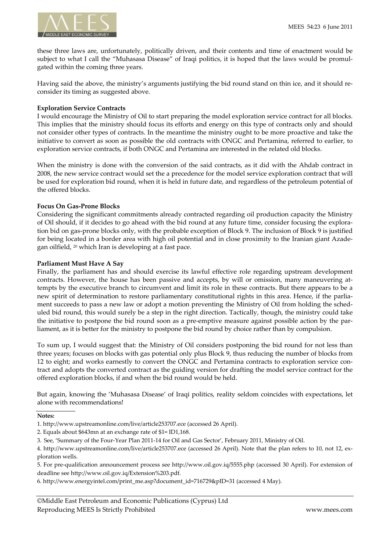

these three laws are, unfortunately, politically driven, and their contents and time of enactment would be subject to what I call the "Muhasasa Disease" of Iraqi politics, it is hoped that the laws would be promulgated within the coming three years.

Having said the above, the ministry's arguments justifying the bid round stand on thin ice, and it should re‐ consider its timing as suggested above.

#### **Exploration Service Contracts**

I would encourage the Ministry of Oil to start preparing the model exploration service contract for all blocks. This implies that the ministry should focus its efforts and energy on this type of contracts only and should not consider other types of contracts. In the meantime the ministry ought to be more proactive and take the initiative to convert as soon as possible the old contracts with ONGC and Pertamina, referred to earlier, to exploration service contracts, if both ONGC and Pertamina are interested in the related old blocks.

When the ministry is done with the conversion of the said contracts, as it did with the Ahdab contract in 2008, the new service contract would set the a precedence for the model service exploration contract that will be used for exploration bid round, when it is held in future date, and regardless of the petroleum potential of the offered blocks.

#### **Focus On Gas‐Prone Blocks**

Considering the significant commitments already contracted regarding oil production capacity the Ministry of Oil should, if it decides to go ahead with the bid round at any future time, consider focusing the explora‐ tion bid on gas‐prone blocks only, with the probable exception of Block 9. The inclusion of Block 9 is justified for being located in a border area with high oil potential and in close proximity to the Iranian giant Azadegan oilfield, <sup>20</sup> which Iran is developing at a fast pace.

#### **Parliament Must Have A Say**

Finally, the parliament has and should exercise its lawful effective role regarding upstream development contracts. However, the house has been passive and accepts, by will or omission, many maneuvering attempts by the executive branch to circumvent and limit its role in these contracts. But there appears to be a new spirit of determination to restore parliamentary constitutional rights in this area. Hence, if the parliament succeeds to pass a new law or adopt a motion preventing the Ministry of Oil from holding the scheduled bid round, this would surely be a step in the right direction. Tactically, though, the ministry could take the initiative to postpone the bid round soon as a pre-emptive measure against possible action by the parliament, as it is better for the ministry to postpone the bid round by choice rather than by compulsion.

To sum up, I would suggest that: the Ministry of Oil considers postponing the bid round for not less than three years; focuses on blocks with gas potential only plus Block 9, thus reducing the number of blocks from 12 to eight; and works earnestly to convert the ONGC and Pertamina contracts to exploration service con‐ tract and adopts the converted contract as the guiding version for drafting the model service contract for the offered exploration blocks, if and when the bid round would be held.

But again, knowing the 'Muhasasa Disease' of Iraqi politics, reality seldom coincides with expectations, let alone with recommendations!

#### **Notes:**

<sup>1.</sup> http://www.upstreamonline.com/live/article253707.ece (accessed 26 April).

<sup>2.</sup> Equals about \$643mn at an exchange rate of \$1= ID1,168.

<sup>3.</sup> See, 'Summary of the Four‐Year Plan 2011‐14 for Oil and Gas Sector', February 2011, Ministry of Oil.

<sup>4.</sup> http://www.upstreamonline.com/live/article253707.ece (accessed 26 April). Note that the plan refers to 10, not 12, ex‐ ploration wells.

<sup>5.</sup> For pre‐qualification announcement process see http://www.oil.gov.iq/5555.php (accessed 30 April). For extension of deadline see http://www.oil.gov.iq/Extension%203.pdf.

<sup>6.</sup> http://www.energyintel.com/print\_me.asp?document\_id=716729&pID=31 (accessed 4 May).